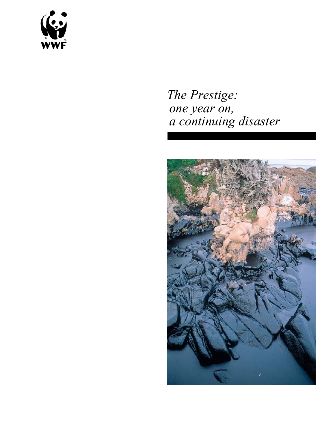

# *The Prestige: one year on, a continuing disaster*

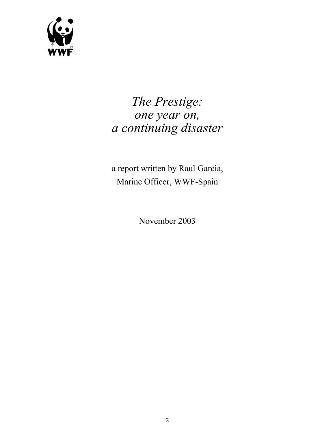

# *The Prestige: one year on, a continuing disaster*

a report written by Raul Garcia, Marine Officer, WWF-Spain

November 2003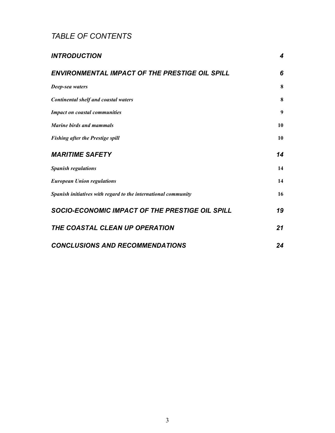## *TABLE OF CONTENTS*

| <b>INTRODUCTION</b>                                            | 4  |
|----------------------------------------------------------------|----|
| ENVIRONMENTAL IMPACT OF THE PRESTIGE OIL SPILL                 | 6  |
| Deep-sea waters                                                | 8  |
| <b>Continental shelf and coastal waters</b>                    | 8  |
| <b>Impact on coastal communities</b>                           | 9  |
| Marine birds and mammals                                       | 10 |
| <b>Fishing after the Prestige spill</b>                        | 10 |
| <b>MARITIME SAFETY</b>                                         | 14 |
| <b>Spanish regulations</b>                                     | 14 |
| <b>European Union regulations</b>                              | 14 |
| Spanish initiatives with regard to the international community | 16 |
| SOCIO-ECONOMIC IMPACT OF THE PRESTIGE OIL SPILL                | 19 |
| THE COASTAL CLEAN UP OPERATION                                 | 21 |
| <b>CONCLUSIONS AND RECOMMENDATIONS</b>                         | 24 |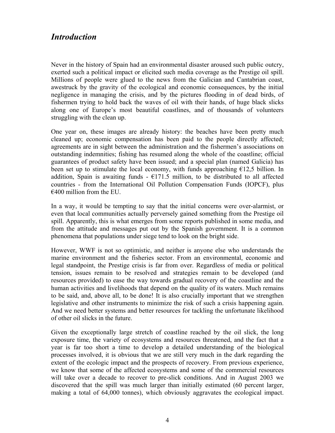### *Introduction*

Never in the history of Spain had an environmental disaster aroused such public outcry, exerted such a political impact or elicited such media coverage as the Prestige oil spill. Millions of people were glued to the news from the Galician and Cantabrian coast, awestruck by the gravity of the ecological and economic consequences, by the initial negligence in managing the crisis, and by the pictures flooding in of dead birds, of fishermen trying to hold back the waves of oil with their hands, of huge black slicks along one of Europe's most beautiful coastlines, and of thousands of volunteers struggling with the clean up.

One year on, these images are already history: the beaches have been pretty much cleaned up; economic compensation has been paid to the people directly affected; agreements are in sight between the administration and the fishermen's associations on outstanding indemnities; fishing has resumed along the whole of the coastline; official guarantees of product safety have been issued; and a special plan (named Galicia) has been set up to stimulate the local economy, with funds approaching  $E12,5$  billion. In addition, Spain is awaiting funds  $\text{-} \in 171.5$  million, to be distributed to all affected countries - from the International Oil Pollution Compensation Funds (IOPCF), plus  $\epsilon$ 400 million from the EU.

In a way, it would be tempting to say that the initial concerns were over-alarmist, or even that local communities actually perversely gained something from the Prestige oil spill. Apparently, this is what emerges from some reports published in some media, and from the attitude and messages put out by the Spanish government. It is a common phenomena that populations under siege tend to look on the bright side.

However, WWF is not so optimistic, and neither is anyone else who understands the marine environment and the fisheries sector. From an environmental, economic and legal standpoint, the Prestige crisis is far from over. Regardless of media or political tension, issues remain to be resolved and strategies remain to be developed (and resources provided) to ease the way towards gradual recovery of the coastline and the human activities and livelihoods that depend on the quality of its waters. Much remains to be said, and, above all, to be done! It is also crucially important that we strengthen legislative and other instruments to minimize the risk of such a crisis happening again. And we need better systems and better resources for tackling the unfortunate likelihood of other oil slicks in the future.

Given the exceptionally large stretch of coastline reached by the oil slick, the long exposure time, the variety of ecosystems and resources threatened, and the fact that a year is far too short a time to develop a detailed understanding of the biological processes involved, it is obvious that we are still very much in the dark regarding the extent of the ecologic impact and the prospects of recovery. From previous experience, we know that some of the affected ecosystems and some of the commercial resources will take over a decade to recover to pre-slick conditions. And in August 2003 we discovered that the spill was much larger than initially estimated (60 percent larger, making a total of 64,000 tonnes), which obviously aggravates the ecological impact.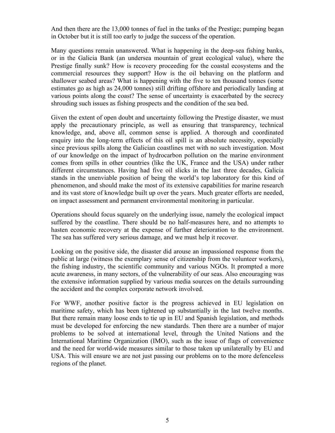And then there are the 13,000 tonnes of fuel in the tanks of the Prestige; pumping began in October but it is still too early to judge the success of the operation.

Many questions remain unanswered. What is happening in the deep-sea fishing banks, or in the Galicia Bank (an undersea mountain of great ecological value), where the Prestige finally sunk? How is recovery proceeding for the coastal ecosystems and the commercial resources they support? How is the oil behaving on the platform and shallower seabed areas? What is happening with the five to ten thousand tonnes (some estimates go as high as 24,000 tonnes) still drifting offshore and periodically landing at various points along the coast? The sense of uncertainty is exacerbated by the secrecy shrouding such issues as fishing prospects and the condition of the sea bed.

Given the extent of open doubt and uncertainty following the Prestige disaster, we must apply the precautionary principle, as well as ensuring that transparency, technical knowledge, and, above all, common sense is applied. A thorough and coordinated enquiry into the long-term effects of this oil spill is an absolute necessity, especially since previous spills along the Galician coastlines met with no such investigation. Most of our knowledge on the impact of hydrocarbon pollution on the marine environment comes from spills in other countries (like the UK, France and the USA) under rather different circumstances. Having had five oil slicks in the last three decades, Galicia stands in the unenviable position of being the world's top laboratory for this kind of phenomenon, and should make the most of its extensive capabilities for marine research and its vast store of knowledge built up over the years. Much greater efforts are needed, on impact assessment and permanent environmental monitoring in particular.

Operations should focus squarely on the underlying issue, namely the ecological impact suffered by the coastline. There should be no half-measures here, and no attempts to hasten economic recovery at the expense of further deterioration to the environment. The sea has suffered very serious damage, and we must help it recover.

Looking on the positive side, the disaster did arouse an impassioned response from the public at large (witness the exemplary sense of citizenship from the volunteer workers), the fishing industry, the scientific community and various NGOs. It prompted a more acute awareness, in many sectors, of the vulnerability of our seas. Also encouraging was the extensive information supplied by various media sources on the details surrounding the accident and the complex corporate network involved.

For WWF, another positive factor is the progress achieved in EU legislation on maritime safety, which has been tightened up substantially in the last twelve months. But there remain many loose ends to tie up in EU and Spanish legislation, and methods must be developed for enforcing the new standards. Then there are a number of major problems to be solved at international level, through the United Nations and the International Maritime Organization (IMO), such as the issue of flags of convenience and the need for world-wide measures similar to those taken up unilaterally by EU and USA. This will ensure we are not just passing our problems on to the more defenceless regions of the planet.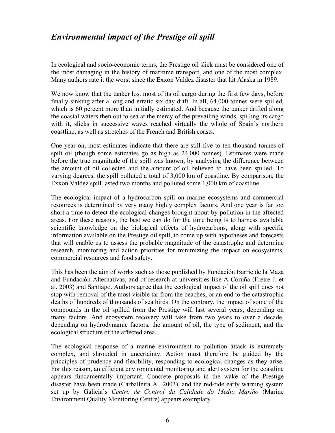## *Environmental impact of the Prestige oil spill*

In ecological and socio-economic terms, the Prestige oil slick must be considered one of the most damaging in the history of maritime transport, and one of the most complex. Many authors rate it the worst since the Exxon Valdez disaster that hit Alaska in 1989.

We now know that the tanker lost most of its oil cargo during the first few days, before finally sinking after a long and erratic six-day drift. In all, 64,000 tonnes were spilled, which is 60 percent more than initially estimated. And because the tanker drifted along the coastal waters then out to sea at the mercy of the prevailing winds, spilling its cargo with it, slicks in successive waves reached virtually the whole of Spain's northern coastline, as well as stretches of the French and British coasts.

One year on, most estimates indicate that there are still five to ten thousand tonnes of spilt oil (though some estimates go as high as 24,000 tonnes). Estimates were made before the true magnitude of the spill was known, by analysing the difference between the amount of oil collected and the amount of oil believed to have been spilled. To varying degrees, the spill polluted a total of 3,000 km of coastline. By comparison, the Exxon Valdez spill lasted two months and polluted some 1,000 km of coastline.

The ecological impact of a hydrocarbon spill on marine ecosystems and commercial resources is determined by very many highly complex factors. And one year is far too short a time to detect the ecological changes brought about by pollution in the affected areas. For these reasons, the best we can do for the time being is to harness available scientific knowledge on the biological effects of hydrocarbons, along with specific information available on the Prestige oil spill, to come up with hypotheses and forecasts that will enable us to assess the probable magnitude of the catastrophe and determine research, monitoring and action priorities for minimizing the impact on ecosystems, commercial resources and food safety.

This has been the aim of works such as those published by Fundación Barrie de la Maza and Fundación Alternativas, and of research at universities like A Coruña (Freire J. et al, 2003) and Santiago. Authors agree that the ecological impact of the oil spill does not stop with removal of the most visible tar from the beaches, or an end to the catastrophic deaths of hundreds of thousands of sea birds. On the contrary, the impact of some of the compounds in the oil spilled from the Prestige will last several years, depending on many factors. And ecosystem recovery will take from two years to over a decade, depending on hydrodynamic factors, the amount of oil, the type of sediment, and the ecological structure of the affected area.

The ecological response of a marine environment to pollution attack is extremely complex, and shrouded in uncertainty. Action must therefore be guided by the principles of prudence and flexibility, responding to ecological changes as they arise. For this reason, an efficient environmental monitoring and alert system for the coastline appears fundamentally important. Concrete proposals in the wake of the Prestige disaster have been made (Carballeira A., 2003), and the red-tide early warning system set up by Galicia's *Centro de Control da Calidade do Medio Mariño* (Marine Environment Quality Monitoring Centre) appears exemplary.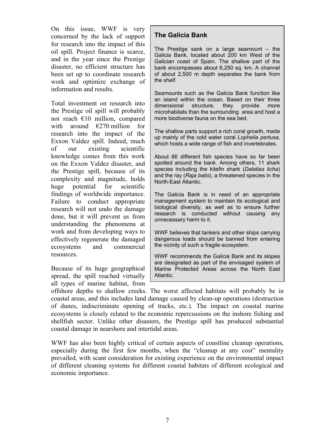On this issue, WWF is very concerned by the lack of support for research into the impact of this oil spill. Project finance is scarce, and in the year since the Prestige disaster, no efficient structure has been set up to coordinate research work and optimize exchange of information and results.

Total investment on research into the Prestige oil spill will probably not reach €10 million, compared with around  $\epsilon$ 270 million for research into the impact of the Exxon Valdez spill. Indeed, much of our existing scientific knowledge comes from this work on the Exxon Valdez disaster, and the Prestige spill, because of its complexity and magnitude, holds huge potential for scientific findings of worldwide importance. Failure to conduct appropriate research will not undo the damage done, but it will prevent us from understanding the phenomena at work and from developing ways to effectively regenerate the damaged ecosystems and commercial resources.

Because of its huge geographical spread, the spill reached virtually all types of marine habitat, from

#### **The Galicia Bank**

The Prestige sank on a large seamount – the Galicia Bank, located about 200 km West of the Galician coast of Spain. The shallow part of the bank encompasses about 6,250 sq. km. A channel of about 2,500 m depth separates the bank from the shelf.

Seamounts such as the Galicia Bank function like an island within the ocean. Based on their three dimensional structure, they provide more microhabitats than the surrounding area and host a more biodiverse fauna on the sea bed.

The shallow parts support a rich coral growth, made up mainly of the cold water coral *Lophelia pertusa*, which hosts a wide range of fish and invertebrates.

About 86 different fish species have so far been spotted around the bank. Among others, 11 shark species including the kitefin shark (*Dalatias licha*) and the ray (*Raja batis*), a threatened species in the North-East Atlantic.

The Galicia Bank is in need of an appropriate management system to maintain its ecological and biological diversity, as well as to ensure further research is conducted without causing any unnecessary harm to it.

WWF believes that tankers and other ships carrying dangerous loads should be banned from entering the vicinity of such a fragile ecosystem.

WWF recommends the Galicia Bank and its slopes are designated as part of the envisaged system of Marine Protected Areas across the North East Atlantic.

offshore depths to shallow creeks. The worst affected habitats will probably be in coastal areas, and this includes land damage caused by clean-up operations (destruction of dunes, indiscriminate opening of tracks, etc.). The impact on coastal marine ecosystems is closely related to the economic repercussions on the inshore fishing and shellfish sector. Unlike other disasters, the Prestige spill has produced substantial coastal damage in nearshore and intertidal areas.

WWF has also been highly critical of certain aspects of coastline cleanup operations, especially during the first few months, when the "cleanup at any cost" mentality prevailed, with scant consideration for existing experience on the environmental impact of different cleaning systems for different coastal habitats of different ecological and economic importance.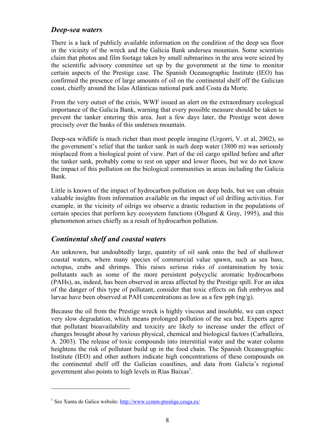#### *Deep-sea waters*

There is a lack of publicly available information on the condition of the deep sea floor in the vicinity of the wreck and the Galicia Bank undersea mountain. Some scientists claim that photos and film footage taken by small submarines in the area were seized by the scientific advisory committee set up by the government at the time to monitor certain aspects of the Prestige case. The Spanish Oceanographic Institute (IEO) has confirmed the presence of large amounts of oil on the continental shelf off the Galician coast, chiefly around the Islas Atlánticas national park and Costa da Morte.

From the very outset of the crisis, WWF issued an alert on the extraordinary ecological importance of the Galicia Bank, warning that every possible measure should be taken to prevent the tanker entering this area. Just a few days later, the Prestige went down precisely over the banks of this undersea mountain.

Deep-sea wildlife is much richer than most people imagine (Urgorri, V. et al, 2002), so the government's relief that the tanker sank in such deep water (3800 m) was seriously misplaced from a biological point of view. Part of the oil cargo spilled before and after the tanker sank, probably come to rest on upper and lower floors, but we do not know the impact of this pollution on the biological communities in areas including the Galicia Bank.

Little is known of the impact of hydrocarbon pollution on deep beds, but we can obtain valuable insights from information available on the impact of oil drilling activities. For example, in the vicinity of oilrigs we observe a drastic reduction in the populations of certain species that perform key ecosystem functions (Olsgard  $\&$  Gray, 1995), and this phenomenon arises chiefly as a result of hydrocarbon pollution.

#### *Continental shelf and coastal waters*

An unknown, but undoubtedly large, quantity of oil sank onto the bed of shallower coastal waters, where many species of commercial value spawn, such as sea bass, octopus, crabs and shrimps. This raises serious risks of contamination by toxic pollutants such as some of the more persistent polycyclic aromatic hydrocarbons (PAHs), as, indeed, has been observed in areas affected by the Prestige spill. For an idea of the danger of this type of pollutant, consider that toxic effects on fish embryos and larvae have been observed at PAH concentrations as low as a few ppb (ng/g).

Because the oil from the Prestige wreck is highly viscous and insoluble, we can expect very slow degradation, which means prolonged pollution of the sea bed. Experts agree that pollutant bioavailability and toxicity are likely to increase under the effect of changes brought about by various physical, chemical and biological factors (Carballeira, A. 2003). The release of toxic compounds into interstitial water and the water column heightens the risk of pollutant build up in the food chain. The Spanish Oceanographic Institute (IEO) and other authors indicate high concentrations of these compounds on the continental shelf off the Galician coastlines, and data from Galicia's regional government also points to high levels in Rías Baixas<sup>1</sup>.

 $\overline{a}$ 

<sup>&</sup>lt;sup>1</sup> See Xunta de Galica website: http://www.ccmm-prestige.cesga.es/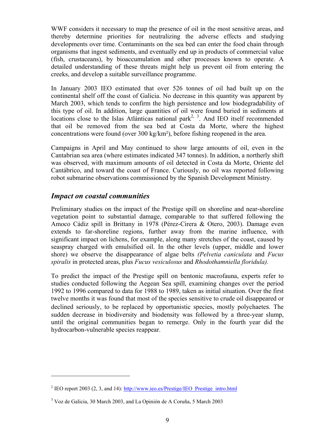WWF considers it necessary to map the presence of oil in the most sensitive areas, and thereby determine priorities for neutralizing the adverse effects and studying developments over time. Contaminants on the sea bed can enter the food chain through organisms that ingest sediments, and eventually end up in products of commercial value (fish, crustaceans), by bioaccumulation and other processes known to operate. A detailed understanding of these threats might help us prevent oil from entering the creeks, and develop a suitable surveillance programme.

In January 2003 IEO estimated that over 526 tonnes of oil had built up on the continental shelf off the coast of Galicia. No decrease in this quantity was apparent by March 2003, which tends to confirm the high persistence and low biodegradability of this type of oil. In addition, large quantities of oil were found buried in sediments at locations close to the Islas Atlánticas national park<sup>2, 3</sup>. And IEO itself recommended that oil be removed from the sea bed at Costa da Morte, where the highest concentrations were found (over 300 kg/km²), before fishing reopened in the area.

Campaigns in April and May continued to show large amounts of oil, even in the Cantabrian sea area (where estimates indicated 347 tonnes). In addition, a northerly shift was observed, with maximum amounts of oil detected in Costa da Morte, Oriente del Cantábrico, and toward the coast of France. Curiously, no oil was reported following robot submarine observations commissioned by the Spanish Development Ministry.

#### *Impact on coastal communities*

 $\overline{a}$ 

Preliminary studies on the impact of the Prestige spill on shoreline and near-shoreline vegetation point to substantial damage, comparable to that suffered following the Amoco Cádiz spill in Brittany in 1978 (Pérez-Cirera & Otero, 2003). Damage even extends to far-shoreline regions, further away from the marine influence, with significant impact on lichens, for example, along many stretches of the coast, caused by seaspray charged with emulsified oil. In the other levels (upper, middle and lower shore) we observe the disappearance of algae belts *(Pelvetia caniculata* and *Fucus spiralis* in protected areas, plus *Fucus vesiculosus* and *Rhodothamniella floridula).*

To predict the impact of the Prestige spill on bentonic macrofauna, experts refer to studies conducted following the Aegean Sea spill, examining changes over the period 1992 to 1996 compared to data for 1988 to 1989, taken as initial situation. Over the first twelve months it was found that most of the species sensitive to crude oil disappeared or declined seriously, to be replaced by opportunistic species, mostly polychaetes. The sudden decrease in biodiversity and biodensity was followed by a three-year slump, until the original communities began to remerge. Only in the fourth year did the hydrocarbon-vulnerable species reappear.

<sup>&</sup>lt;sup>2</sup> IEO report 2003 (2, 3, and 14):  $\frac{http://www.ieo.es/Prestige/IEO-Prestige-intro.html}{http://www.ieo.es/Prestige/IEO-Prestige-intro.html}$ 

<sup>&</sup>lt;sup>3</sup> Voz de Galicia, 30 March 2003, and La Opinión de A Coruña, 5 March 2003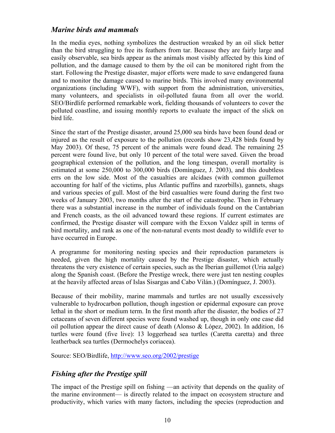#### *Marine birds and mammals*

In the media eyes, nothing symbolizes the destruction wreaked by an oil slick better than the bird struggling to free its feathers from tar. Because they are fairly large and easily observable, sea birds appear as the animals most visibly affected by this kind of pollution, and the damage caused to them by the oil can be monitored right from the start. Following the Prestige disaster, major efforts were made to save endangered fauna and to monitor the damage caused to marine birds. This involved many environmental organizations (including WWF), with support from the administration, universities, many volunteers, and specialists in oil-polluted fauna from all over the world. SEO/Birdlife performed remarkable work, fielding thousands of volunteers to cover the polluted coastline, and issuing monthly reports to evaluate the impact of the slick on bird life.

Since the start of the Prestige disaster, around 25,000 sea birds have been found dead or injured as the result of exposure to the pollution (records show 23,428 birds found by May 2003). Of these, 75 percent of the animals were found dead. The remaining 25 percent were found live, but only 10 percent of the total were saved. Given the broad geographical extension of the pollution, and the long timespan, overall mortality is estimated at some 250,000 to 300,000 birds (Domínguez, J. 2003), and this doubtless errs on the low side. Most of the casualties are alcidaes (with common guillemot accounting for half of the victims, plus Atlantic puffins and razorbills), gannets, shags and various species of gull. Most of the bird casualties were found during the first two weeks of January 2003, two months after the start of the catastrophe. Then in February there was a substantial increase in the number of individuals found on the Cantabrian and French coasts, as the oil advanced toward these regions. If current estimates are confirmed, the Prestige disaster will compare with the Exxon Valdez spill in terms of bird mortality, and rank as one of the non-natural events most deadly to wildlife ever to have occurred in Europe.

A programme for monitoring nesting species and their reproduction parameters is needed, given the high mortality caused by the Prestige disaster, which actually threatens the very existence of certain species, such as the Iberian guillemot (Uria aalge) along the Spanish coast. (Before the Prestige wreck, there were just ten nesting couples at the heavily affected areas of Islas Sisargas and Cabo Vilán.) (Domínguez, J. 2003).

Because of their mobility, marine mammals and turtles are not usually excessively vulnerable to hydrocarbon pollution, though ingestion or epidermal exposure can prove lethal in the short or medium term. In the first month after the disaster, the bodies of 27 cetaceans of seven different species were found washed up, though in only one case did oil pollution appear the direct cause of death (Alonso & López, 2002). In addition, 16 turtles were found (five live): 13 loggerhead sea turtles (Caretta caretta) and three leatherback sea turtles (Dermochelys coriacea).

Source: SEO/Birdlife, http://www.seo.org/2002/prestige

#### *Fishing after the Prestige spill*

The impact of the Prestige spill on fishing —an activity that depends on the quality of the marine environment— is directly related to the impact on ecosystem structure and productivity, which varies with many factors, including the species (reproduction and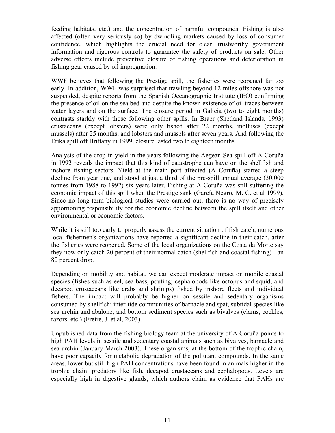feeding habitats, etc.) and the concentration of harmful compounds. Fishing is also affected (often very seriously so) by dwindling markets caused by loss of consumer confidence, which highlights the crucial need for clear, trustworthy government information and rigorous controls to guarantee the safety of products on sale. Other adverse effects include preventive closure of fishing operations and deterioration in fishing gear caused by oil impregnation.

WWF believes that following the Prestige spill, the fisheries were reopened far too early. In addition, WWF was surprised that trawling beyond 12 miles offshore was not suspended, despite reports from the Spanish Oceanographic Institute (IEO) confirming the presence of oil on the sea bed and despite the known existence of oil traces between water layers and on the surface. The closure period in Galicia (two to eight months) contrasts starkly with those following other spills. In Braer (Shetland Islands, 1993) crustaceans (except lobsters) were only fished after 22 months, molluscs (except mussels) after 25 months, and lobsters and mussels after seven years. And following the Erika spill off Brittany in 1999, closure lasted two to eighteen months.

Analysis of the drop in yield in the years following the Aegean Sea spill off A Coruña in 1992 reveals the impact that this kind of catastrophe can have on the shellfish and inshore fishing sectors. Yield at the main port affected (A Coruña) started a steep decline from year one, and stood at just a third of the pre-spill annual average (30,000 tonnes from 1988 to 1992) six years later. Fishing at A Coruña was still suffering the economic impact of this spill when the Prestige sank (García Negro, M. C. et al 1999). Since no long-term biological studies were carried out, there is no way of precisely apportioning responsibility for the economic decline between the spill itself and other environmental or economic factors.

While it is still too early to properly assess the current situation of fish catch, numerous local fishermen's organizations have reported a significant decline in their catch, after the fisheries were reopened. Some of the local organizations on the Costa da Morte say they now only catch 20 percent of their normal catch (shellfish and coastal fishing) - an 80 percent drop.

Depending on mobility and habitat, we can expect moderate impact on mobile coastal species (fishes such as eel, sea bass, pouting; cephalopods like octopus and squid, and decapod crustaceans like crabs and shrimps) fished by inshore fleets and individual fishers. The impact will probably be higher on sessile and sedentary organisms consumed by shellfish: inter-tide communities of barnacle and spat, subtidal species like sea urchin and abalone, and bottom sediment species such as bivalves (clams, cockles, razors, etc.) (Freire, J. et al, 2003).

Unpublished data from the fishing biology team at the university of A Coruña points to high PAH levels in sessile and sedentary coastal animals such as bivalves, barnacle and sea urchin (January-March 2003). These organisms, at the bottom of the trophic chain, have poor capacity for metabolic degradation of the pollutant compounds. In the same areas, lower but still high PAH concentrations have been found in animals higher in the trophic chain: predators like fish, decapod crustaceans and cephalopods. Levels are especially high in digestive glands, which authors claim as evidence that PAHs are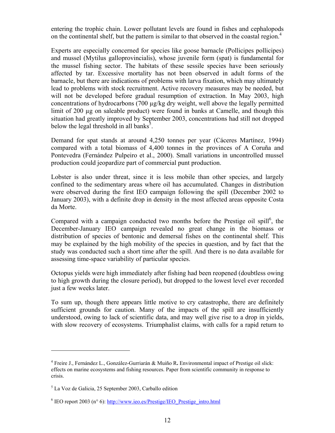entering the trophic chain. Lower pollutant levels are found in fishes and cephalopods on the continental shelf, but the pattern is similar to that observed in the coastal region.<sup>4</sup>

Experts are especially concerned for species like goose barnacle (Pollicipes pollicipes) and mussel (Mytilus galloprovincialis), whose juvenile form (spat) is fundamental for the mussel fishing sector. The habitats of these sessile species have been seriously affected by tar. Excessive mortality has not been observed in adult forms of the barnacle, but there are indications of problems with larva fixation, which may ultimately lead to problems with stock recruitment. Active recovery measures may be needed, but will not be developed before gradual resumption of extraction. In May 2003, high concentrations of hydrocarbons (700 µg/kg dry weight, well above the legally permitted limit of 200 µg on saleable product) were found in banks at Camelle, and though this situation had greatly improved by September 2003, concentrations had still not dropped below the legal threshold in all banks<sup>5</sup>.

Demand for spat stands at around 4,250 tonnes per year (Cáceres Martínez, 1994) compared with a total biomass of 4,400 tonnes in the provinces of A Coruña and Pontevedra (Fernández Pulpeiro et al., 2000). Small variations in uncontrolled mussel production could jeopardize part of commercial punt production.

Lobster is also under threat, since it is less mobile than other species, and largely confined to the sedimentary areas where oil has accumulated. Changes in distribution were observed during the first IEO campaign following the spill (December 2002 to January 2003), with a definite drop in density in the most affected areas opposite Costa da Morte.

Compared with a campaign conducted two months before the Prestige oil spill<sup>6</sup>, the December-January IEO campaign revealed no great change in the biomass or distribution of species of bentonic and demersal fishes on the continental shelf. This may be explained by the high mobility of the species in question, and by fact that the study was conducted such a short time after the spill. And there is no data available for assessing time-space variability of particular species.

Octopus yields were high immediately after fishing had been reopened (doubtless owing to high growth during the closure period), but dropped to the lowest level ever recorded just a few weeks later.

To sum up, though there appears little motive to cry catastrophe, there are definitely sufficient grounds for caution. Many of the impacts of the spill are insufficiently understood, owing to lack of scientific data, and may well give rise to a drop in yields, with slow recovery of ecosystems. Triumphalist claims, with calls for a rapid return to

 $\overline{a}$ 

<sup>4</sup> Freire J., Fernández L., González-Gurriarán & Muiño R**.** Environmental impact of Prestige oil slick: effects on marine ecosystems and fishing resources. Paper from scientific community in response to crisis.

<sup>5</sup> La Voz de Galicia, 25 September 2003, Carballo edition

<sup>&</sup>lt;sup>6</sup> IEO report 2003 (n<sup>o</sup> 6): http://www.ieo.es/Prestige/IEO\_Prestige\_intro.html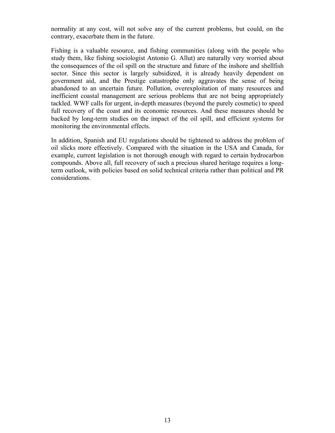normality at any cost, will not solve any of the current problems, but could, on the contrary, exacerbate them in the future.

Fishing is a valuable resource, and fishing communities (along with the people who study them, like fishing sociologist Antonio G. Allut) are naturally very worried about the consequences of the oil spill on the structure and future of the inshore and shellfish sector. Since this sector is largely subsidized, it is already heavily dependent on government aid, and the Prestige catastrophe only aggravates the sense of being abandoned to an uncertain future. Pollution, overexploitation of many resources and inefficient coastal management are serious problems that are not being appropriately tackled. WWF calls for urgent, in-depth measures (beyond the purely cosmetic) to speed full recovery of the coast and its economic resources. And these measures should be backed by long-term studies on the impact of the oil spill, and efficient systems for monitoring the environmental effects.

In addition, Spanish and EU regulations should be tightened to address the problem of oil slicks more effectively. Compared with the situation in the USA and Canada, for example, current legislation is not thorough enough with regard to certain hydrocarbon compounds. Above all, full recovery of such a precious shared heritage requires a longterm outlook, with policies based on solid technical criteria rather than political and PR considerations.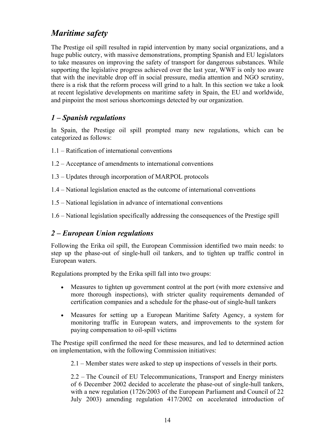# *Maritime safety*

The Prestige oil spill resulted in rapid intervention by many social organizations, and a huge public outcry, with massive demonstrations, prompting Spanish and EU legislators to take measures on improving the safety of transport for dangerous substances. While supporting the legislative progress achieved over the last year, WWF is only too aware that with the inevitable drop off in social pressure, media attention and NGO scrutiny, there is a risk that the reform process will grind to a halt. In this section we take a look at recent legislative developments on maritime safety in Spain, the EU and worldwide, and pinpoint the most serious shortcomings detected by our organization.

#### *1 – Spanish regulations*

In Spain, the Prestige oil spill prompted many new regulations, which can be categorized as follows:

- 1.1 Ratification of international conventions
- 1.2 Acceptance of amendments to international conventions
- 1.3 Updates through incorporation of MARPOL protocols
- 1.4 National legislation enacted as the outcome of international conventions
- 1.5 National legislation in advance of international conventions
- 1.6 National legislation specifically addressing the consequences of the Prestige spill

#### *2 – European Union regulations*

Following the Erika oil spill, the European Commission identified two main needs: to step up the phase-out of single-hull oil tankers, and to tighten up traffic control in European waters.

Regulations prompted by the Erika spill fall into two groups:

- Measures to tighten up government control at the port (with more extensive and more thorough inspections), with stricter quality requirements demanded of certification companies and a schedule for the phase-out of single-hull tankers
- Measures for setting up a European Maritime Safety Agency, a system for monitoring traffic in European waters, and improvements to the system for paying compensation to oil-spill victims

The Prestige spill confirmed the need for these measures, and led to determined action on implementation, with the following Commission initiatives:

2.1 – Member states were asked to step up inspections of vessels in their ports.

2.2 – The Council of EU Telecommunications, Transport and Energy ministers of 6 December 2002 decided to accelerate the phase-out of single-hull tankers, with a new regulation (1726/2003 of the European Parliament and Council of 22 July 2003) amending regulation 417/2002 on accelerated introduction of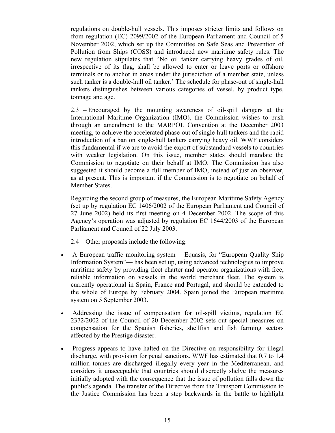regulations on double-hull vessels. This imposes stricter limits and follows on from regulation (EC) 2099/2002 of the European Parliament and Council of 5 November 2002, which set up the Committee on Safe Seas and Prevention of Pollution from Ships (COSS) and introduced new maritime safety rules. The new regulation stipulates that "No oil tanker carrying heavy grades of oil, irrespective of its flag, shall be allowed to enter or leave ports or offshore terminals or to anchor in areas under the jurisdiction of a member state, unless such tanker is a double-hull oil tanker.' The schedule for phase-out of single-hull tankers distinguishes between various categories of vessel, by product type, tonnage and age.

2.3 – Encouraged by the mounting awareness of oil-spill dangers at the International Maritime Organization (IMO), the Commission wishes to push through an amendment to the MARPOL Convention at the December 2003 meeting, to achieve the accelerated phase-out of single-hull tankers and the rapid introduction of a ban on single-hull tankers carrying heavy oil. WWF considers this fundamental if we are to avoid the export of substandard vessels to countries with weaker legislation. On this issue, member states should mandate the Commission to negotiate on their behalf at IMO. The Commission has also suggested it should become a full member of IMO, instead of just an observer, as at present. This is important if the Commission is to negotiate on behalf of Member States.

Regarding the second group of measures, the European Maritime Safety Agency (set up by regulation EC 1406/2002 of the European Parliament and Council of 27 June 2002) held its first meeting on 4 December 2002. The scope of this Agency's operation was adjusted by regulation EC 1644/2003 of the European Parliament and Council of 22 July 2003.

2.4 – Other proposals include the following:

- A European traffic monitoring system Equasis, for "European Quality Ship Information System"— has been set up, using advanced technologies to improve maritime safety by providing fleet charter and operator organizations with free, reliable information on vessels in the world merchant fleet. The system is currently operational in Spain, France and Portugal, and should be extended to the whole of Europe by February 2004. Spain joined the European maritime system on 5 September 2003.
- Addressing the issue of compensation for oil-spill victims, regulation EC 2372/2002 of the Council of 20 December 2002 sets out special measures on compensation for the Spanish fisheries, shellfish and fish farming sectors affected by the Prestige disaster.
- Progress appears to have halted on the Directive on responsibility for illegal discharge, with provision for penal sanctions. WWF has estimated that 0.7 to 1.4 million tonnes are discharged illegally every year in the Mediterranean, and considers it unacceptable that countries should discreetly shelve the measures initially adopted with the consequence that the issue of pollution falls down the public's agenda. The transfer of the Directive from the Transport Commission to the Justice Commission has been a step backwards in the battle to highlight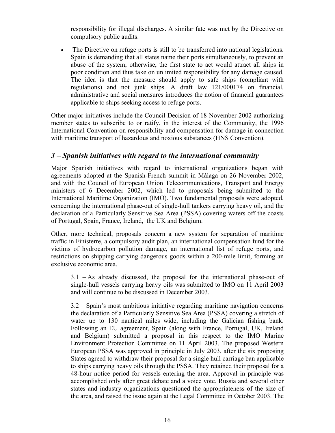responsibility for illegal discharges. A similar fate was met by the Directive on compulsory public audits.

• The Directive on refuge ports is still to be transferred into national legislations. Spain is demanding that all states name their ports simultaneously, to prevent an abuse of the system; otherwise, the first state to act would attract all ships in poor condition and thus take on unlimited responsibility for any damage caused. The idea is that the measure should apply to safe ships (compliant with regulations) and not junk ships. A draft law 121/000174 on financial, administrative and social measures introduces the notion of financial guarantees applicable to ships seeking access to refuge ports.

Other major initiatives include the Council Decision of 18 November 2002 authorizing member states to subscribe to or ratify, in the interest of the Community, the 1996 International Convention on responsibility and compensation for damage in connection with maritime transport of hazardous and noxious substances (HNS Convention).

#### *3 – Spanish initiatives with regard to the international community*

Major Spanish initiatives with regard to international organizations began with agreements adopted at the Spanish-French summit in Málaga on 26 November 2002, and with the Council of European Union Telecommunications, Transport and Energy ministers of 6 December 2002, which led to proposals being submitted to the International Maritime Organization (IMO). Two fundamental proposals were adopted, concerning the international phase-out of single-hull tankers carrying heavy oil, and the declaration of a Particularly Sensitive Sea Area (PSSA) covering waters off the coasts of Portugal, Spain, France, Ireland, the UK and Belgium.

Other, more technical, proposals concern a new system for separation of maritime traffic in Finisterre, a compulsory audit plan, an international compensation fund for the victims of hydrocarbon pollution damage, an international list of refuge ports, and restrictions on shipping carrying dangerous goods within a 200-mile limit, forming an exclusive economic area.

3.1 – As already discussed, the proposal for the international phase-out of single-hull vessels carrying heavy oils was submitted to IMO on 11 April 2003 and will continue to be discussed in December 2003.

3.2 – Spain's most ambitious initiative regarding maritime navigation concerns the declaration of a Particularly Sensitive Sea Area (PSSA) covering a stretch of water up to 130 nautical miles wide, including the Galician fishing bank. Following an EU agreement, Spain (along with France, Portugal, UK, Ireland and Belgium) submitted a proposal in this respect to the IMO Marine Environment Protection Committee on 11 April 2003. The proposed Western European PSSA was approved in principle in July 2003, after the six proposing States agreed to withdraw their proposal for a single hull carriage ban applicable to ships carrying heavy oils through the PSSA. They retained their proposal for a 48-hour notice period for vessels entering the area. Approval in principle was accomplished only after great debate and a voice vote. Russia and several other states and industry organizations questioned the appropriateness of the size of the area, and raised the issue again at the Legal Committee in October 2003. The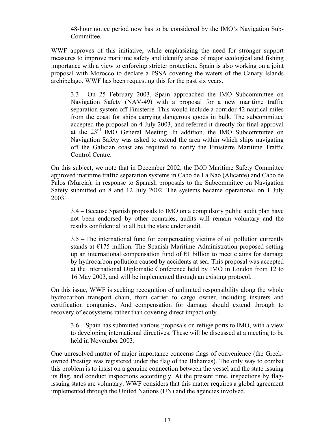48-hour notice period now has to be considered by the IMO's Navigation Sub-Committee.

WWF approves of this initiative, while emphasizing the need for stronger support measures to improve maritime safety and identify areas of major ecological and fishing importance with a view to enforcing stricter protection. Spain is also working on a joint proposal with Morocco to declare a PSSA covering the waters of the Canary Islands archipelago. WWF has been requesting this for the past six years.

3.3 – On 25 February 2003, Spain approached the IMO Subcommittee on Navigation Safety (NAV-49) with a proposal for a new maritime traffic separation system off Finisterre. This would include a corridor 42 nautical miles from the coast for ships carrying dangerous goods in bulk. The subcommittee accepted the proposal on 4 July 2003, and referred it directly for final approval at the 23rd IMO General Meeting. In addition, the IMO Subcommittee on Navigation Safety was asked to extend the area within which ships navigating off the Galician coast are required to notify the Finisterre Maritime Traffic Control Centre.

On this subject, we note that in December 2002, the IMO Maritime Safety Committee approved maritime traffic separation systems in Cabo de La Nao (Alicante) and Cabo de Palos (Murcia), in response to Spanish proposals to the Subcommittee on Navigation Safety submitted on 8 and 12 July 2002. The systems became operational on 1 July 2003.

3.4 – Because Spanish proposals to IMO on a compulsory public audit plan have not been endorsed by other countries, audits will remain voluntary and the results confidential to all but the state under audit.

3.5 – The international fund for compensating victims of oil pollution currently stands at  $E$ 175 million. The Spanish Maritime Administration proposed setting up an international compensation fund of  $E1$  billion to meet claims for damage by hydrocarbon pollution caused by accidents at sea. This proposal was accepted at the International Diplomatic Conference held by IMO in London from 12 to 16 May 2003, and will be implemented through an existing protocol.

On this issue, WWF is seeking recognition of unlimited responsibility along the whole hydrocarbon transport chain, from carrier to cargo owner, including insurers and certification companies. And compensation for damage should extend through to recovery of ecosystems rather than covering direct impact only.

3.6 – Spain has submitted various proposals on refuge ports to IMO, with a view to developing international directives. These will be discussed at a meeting to be held in November 2003.

One unresolved matter of major importance concerns flags of convenience (the Greekowned Prestige was registered under the flag of the Bahamas). The only way to combat this problem is to insist on a genuine connection between the vessel and the state issuing its flag, and conduct inspections accordingly. At the present time, inspections by flagissuing states are voluntary. WWF considers that this matter requires a global agreement implemented through the United Nations (UN) and the agencies involved.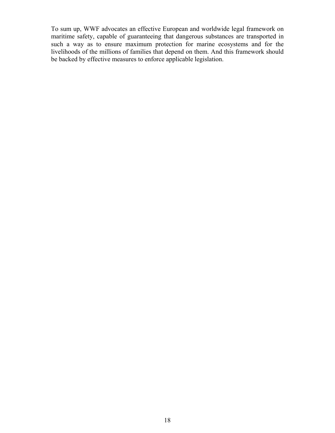To sum up, WWF advocates an effective European and worldwide legal framework on maritime safety, capable of guaranteeing that dangerous substances are transported in such a way as to ensure maximum protection for marine ecosystems and for the livelihoods of the millions of families that depend on them. And this framework should be backed by effective measures to enforce applicable legislation.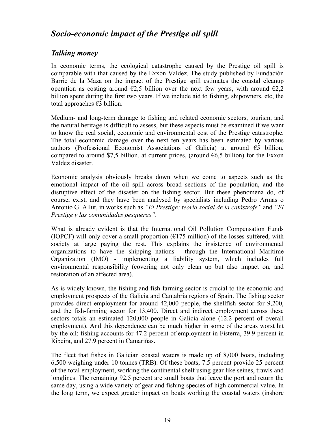## *Socio-economic impact of the Prestige oil spill*

#### *Talking money*

In economic terms, the ecological catastrophe caused by the Prestige oil spill is comparable with that caused by the Exxon Valdez. The study published by Fundación Barrie de la Maza on the impact of the Prestige spill estimates the coastal cleanup operation as costing around  $\epsilon$ 2,5 billion over the next few years, with around  $\epsilon$ 2,2 billion spent during the first two years. If we include aid to fishing, shipowners, etc, the total approaches €3 billion.

Medium- and long-term damage to fishing and related economic sectors, tourism, and the natural heritage is difficult to assess, but these aspects must be examined if we want to know the real social, economic and environmental cost of the Prestige catastrophe. The total economic damage over the next ten years has been estimated by various authors (Professional Economist Associations of Galicia) at around  $\epsilon$ 5 billion, compared to around \$7,5 billion, at current prices, (around  $66,5$  billion) for the Exxon Valdez disaster.

Economic analysis obviously breaks down when we come to aspects such as the emotional impact of the oil spill across broad sections of the population, and the disruptive effect of the disaster on the fishing sector. But these phenomena do, of course, exist, and they have been analysed by specialists including Pedro Armas o Antonio G. Allut, in works such as *"El Prestige: teoría social de la catástrofe"* and *"El Prestige y las comunidades pesqueras"*.

What is already evident is that the International Oil Pollution Compensation Funds (IOPCF) will only cover a small proportion ( $\epsilon$ 175 million) of the losses suffered, with society at large paying the rest. This explains the insistence of environmental organizations to have the shipping nations - through the International Maritime Organization (IMO) - implementing a liability system, which includes full environmental responsibility (covering not only clean up but also impact on, and restoration of an affected area).

As is widely known, the fishing and fish-farming sector is crucial to the economic and employment prospects of the Galicia and Cantabria regions of Spain. The fishing sector provides direct employment for around 42,000 people, the shellfish sector for 9,200, and the fish-farming sector for 13,400. Direct and indirect employment across these sectors totals an estimated 120,000 people in Galicia alone (12.2 percent of overall employment). And this dependence can be much higher in some of the areas worst hit by the oil: fishing accounts for 47.2 percent of employment in Fisterra, 39.9 percent in Ribeira, and 27.9 percent in Camariñas.

The fleet that fishes in Galician coastal waters is made up of 8,000 boats, including 6,500 weighing under 10 tonnes (TRB). Of these boats, 7.5 percent provide 25 percent of the total employment, working the continental shelf using gear like seines, trawls and longlines. The remaining 92.5 percent are small boats that leave the port and return the same day, using a wide variety of gear and fishing species of high commercial value. In the long term, we expect greater impact on boats working the coastal waters (inshore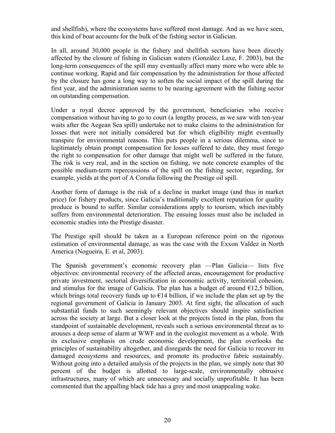and shellfish), where the ecosystems have suffered most damage. And as we have seen, this kind of boat accounts for the bulk of the fishing sector in Galician.

In all, around 30,000 people in the fishery and shellfish sectors have been directly affected by the closure of fishing in Galician waters (González Laxe, F. 2003), but the long-term consequences of the spill may eventually affect many more who were able to continue working. Rapid and fair compensation by the administration for those affected by the closure has gone a long way to soften the social impact of the spill during the first year, and the administration seems to be nearing agreement with the fishing sector on outstanding compensation.

Under a royal decree approved by the government, beneficiaries who receive compensation without having to go to court (a lengthy process, as we saw with ten-year waits after the Aegean Sea spill) undertake not to make claims to the administration for losses that were not initially considered but for which eligibility might eventually transpire for environmental reasons. This puts people in a serious dilemma, since to legitimately obtain prompt compensation for losses suffered to date, they must forego the right to compensation for other damage that might well be suffered in the future. The risk is very real, and in the section on fishing, we note concrete examples of the possible medium-term repercussions of the spill on the fishing sector, regarding, for example, yields at the port of A Coruña following the Prestige oil spill.

Another form of damage is the risk of a decline in market image (and thus in market price) for fishery products, since Galicia's traditionally excellent reputation for quality produce is bound to suffer. Similar considerations apply to tourism, which inevitably suffers from environmental deterioration. The ensuing losses must also be included in economic studies into the Prestige disaster.

The Prestige spill should be taken as a European reference point on the rigorous estimation of environmental damage, as was the case with the Exxon Valdez in North America (Nogueira, E. et al, 2003).

The Spanish government's economic recovery plan —Plan Galicia— lists five objectives: environmental recovery of the affected areas, encouragement for productive private investment, sectorial diversification in economic activity, territorial cohesion, and stimulus for the image of Galicia. The plan has a budget of around  $\epsilon$ 12,5 billion, which brings total recovery funds up to  $E14$  billion, if we include the plan set up by the regional government of Galicia in January 2003. At first sight, the allocation of such substantial funds to such seemingly relevant objectives should inspire satisfaction across the society at large. But a closer look at the projects listed in the plan, from the standpoint of sustainable development, reveals such a serious environmental threat as to arouses a deep sense of alarm at WWF and in the ecologist movement as a whole. With its exclusive emphasis on crude economic development, the plan overlooks the principles of sustainability altogether, and disregards the need for Galicia to recover its damaged ecosystems and resources, and promote its productive fabric sustainably. Without going into a detailed analysis of the projects in the plan, we simply note that 80 percent of the budget is allotted to large-scale, environmentally obtrusive infrastructures, many of which are unnecessary and socially unprofitable. It has been commented that the appalling black tide has a grey and most unappealing wake.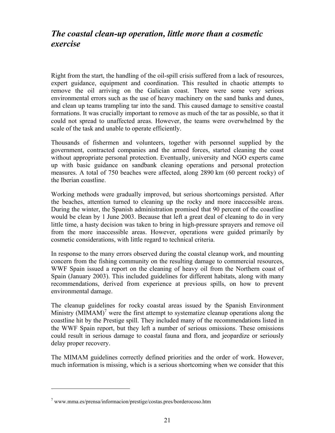## *The coastal clean-up operation, little more than a cosmetic exercise*

Right from the start, the handling of the oil-spill crisis suffered from a lack of resources, expert guidance, equipment and coordination. This resulted in chaotic attempts to remove the oil arriving on the Galician coast. There were some very serious environmental errors such as the use of heavy machinery on the sand banks and dunes, and clean up teams trampling tar into the sand. This caused damage to sensitive coastal formations. It was crucially important to remove as much of the tar as possible, so that it could not spread to unaffected areas. However, the teams were overwhelmed by the scale of the task and unable to operate efficiently.

Thousands of fishermen and volunteers, together with personnel supplied by the government, contracted companies and the armed forces, started cleaning the coast without appropriate personal protection. Eventually, university and NGO experts came up with basic guidance on sandbank cleaning operations and personal protection measures. A total of 750 beaches were affected, along 2890 km (60 percent rocky) of the Iberian coastline.

Working methods were gradually improved, but serious shortcomings persisted. After the beaches, attention turned to cleaning up the rocky and more inaccessible areas. During the winter, the Spanish administration promised that 90 percent of the coastline would be clean by 1 June 2003. Because that left a great deal of cleaning to do in very little time, a hasty decision was taken to bring in high-pressure sprayers and remove oil from the more inaccessible areas. However, operations were guided primarily by cosmetic considerations, with little regard to technical criteria.

In response to the many errors observed during the coastal cleanup work, and mounting concern from the fishing community on the resulting damage to commercial resources, WWF Spain issued a report on the cleaning of heavy oil from the Northern coast of Spain (January 2003). This included guidelines for different habitats, along with many recommendations, derived from experience at previous spills, on how to prevent environmental damage.

The cleanup guidelines for rocky coastal areas issued by the Spanish Environment Ministry  $(MIMAM)^7$  were the first attempt to systematize cleanup operations along the coastline hit by the Prestige spill. They included many of the recommendations listed in the WWF Spain report, but they left a number of serious omissions. These omissions could result in serious damage to coastal fauna and flora, and jeopardize or seriously delay proper recovery.

The MIMAM guidelines correctly defined priorities and the order of work. However, much information is missing, which is a serious shortcoming when we consider that this

 $\overline{a}$ 

<sup>7</sup> www.mma.es/prensa/informacion/prestige/costas.pres/borderocoso.htm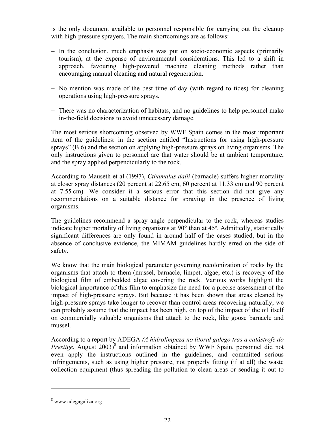is the only document available to personnel responsible for carrying out the cleanup with high-pressure sprayers. The main shortcomings are as follows:

- − In the conclusion, much emphasis was put on socio-economic aspects (primarily tourism), at the expense of environmental considerations. This led to a shift in approach, favouring high-powered machine cleaning methods rather than encouraging manual cleaning and natural regeneration.
- − No mention was made of the best time of day (with regard to tides) for cleaning operations using high-pressure sprays.
- − There was no characterization of habitats, and no guidelines to help personnel make in-the-field decisions to avoid unnecessary damage.

The most serious shortcoming observed by WWF Spain comes in the most important item of the guidelines: in the section entitled "Instructions for using high-pressure sprays" (B.6) and the section on applying high-pressure sprays on living organisms. The only instructions given to personnel are that water should be at ambient temperature, and the spray applied perpendicularly to the rock.

According to Mauseth et al (1997), *Cthamalus dalii* (barnacle) suffers higher mortality at closer spray distances (20 percent at 22.65 cm, 60 percent at 11.33 cm and 90 percent at 7.55 cm). We consider it a serious error that this section did not give any recommendations on a suitable distance for spraying in the presence of living organisms.

The guidelines recommend a spray angle perpendicular to the rock, whereas studies indicate higher mortality of living organisms at 90° than at 45º. Admittedly, statistically significant differences are only found in around half of the cases studied, but in the absence of conclusive evidence, the MIMAM guidelines hardly erred on the side of safety.

We know that the main biological parameter governing recolonization of rocks by the organisms that attach to them (mussel, barnacle, limpet, algae, etc.) is recovery of the biological film of embedded algae covering the rock. Various works highlight the biological importance of this film to emphasize the need for a precise assessment of the impact of high-pressure sprays. But because it has been shown that areas cleaned by high-pressure sprays take longer to recover than control areas recovering naturally, we can probably assume that the impact has been high, on top of the impact of the oil itself on commercially valuable organisms that attach to the rock, like goose barnacle and mussel.

According to a report by ADEGA *(A hidrolimpeza no litoral galego tras a catástrofe do* Prestige, August 2003)<sup>8</sup> and information obtained by WWF Spain, personnel did not even apply the instructions outlined in the guidelines, and committed serious infringements, such as using higher pressure, not properly fitting (if at all) the waste collection equipment (thus spreading the pollution to clean areas or sending it out to

 $\overline{a}$ 

<sup>&</sup>lt;sup>8</sup> www.adegagaliza.org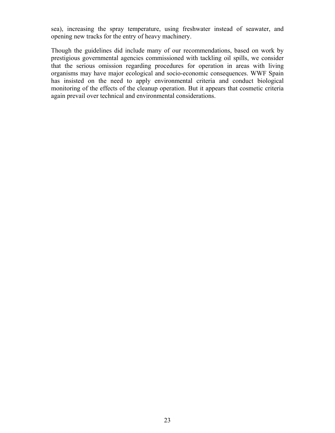sea), increasing the spray temperature, using freshwater instead of seawater, and opening new tracks for the entry of heavy machinery.

Though the guidelines did include many of our recommendations, based on work by prestigious governmental agencies commissioned with tackling oil spills, we consider that the serious omission regarding procedures for operation in areas with living organisms may have major ecological and socio-economic consequences. WWF Spain has insisted on the need to apply environmental criteria and conduct biological monitoring of the effects of the cleanup operation. But it appears that cosmetic criteria again prevail over technical and environmental considerations.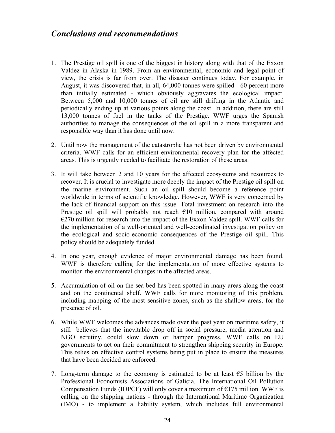### *Conclusions and recommendations*

- 1. The Prestige oil spill is one of the biggest in history along with that of the Exxon Valdez in Alaska in 1989. From an environmental, economic and legal point of view, the crisis is far from over. The disaster continues today. For example, in August, it was discovered that, in all, 64,000 tonnes were spilled - 60 percent more than initially estimated - which obviously aggravates the ecological impact. Between 5,000 and 10,000 tonnes of oil are still drifting in the Atlantic and periodically ending up at various points along the coast. In addition, there are still 13,000 tonnes of fuel in the tanks of the Prestige. WWF urges the Spanish authorities to manage the consequences of the oil spill in a more transparent and responsible way than it has done until now.
- 2. Until now the management of the catastrophe has not been driven by environmental criteria. WWF calls for an efficient environmental recovery plan for the affected areas. This is urgently needed to facilitate the restoration of these areas.
- 3. It will take between 2 and 10 years for the affected ecosystems and resources to recover. It is crucial to investigate more deeply the impact of the Prestige oil spill on the marine environment. Such an oil spill should become a reference point worldwide in terms of scientific knowledge. However, WWF is very concerned by the lack of financial support on this issue. Total investment on research into the Prestige oil spill will probably not reach  $\epsilon$ 10 million, compared with around  $E$  =  $270$  million for research into the impact of the Exxon Valdez spill. WWF calls for the implementation of a well-oriented and well-coordinated investigation policy on the ecological and socio-economic consequences of the Prestige oil spill. This policy should be adequately funded.
- 4. In one year, enough evidence of major environmental damage has been found. WWF is therefore calling for the implementation of more effective systems to monitor the environmental changes in the affected areas.
- 5. Accumulation of oil on the sea bed has been spotted in many areas along the coast and on the continental shelf. WWF calls for more monitoring of this problem, including mapping of the most sensitive zones, such as the shallow areas, for the presence of oil.
- 6. While WWF welcomes the advances made over the past year on maritime safety, it still believes that the inevitable drop off in social pressure, media attention and NGO scrutiny, could slow down or hamper progress. WWF calls on EU governments to act on their commitment to strengthen shipping security in Europe. This relies on effective control systems being put in place to ensure the measures that have been decided are enforced.
- 7. Long-term damage to the economy is estimated to be at least  $\epsilon$ 5 billion by the Professional Economists Associations of Galicia. The International Oil Pollution Compensation Funds (IOPCF) will only cover a maximum of  $E175$  million. WWF is calling on the shipping nations - through the International Maritime Organization (IMO) - to implement a liability system, which includes full environmental